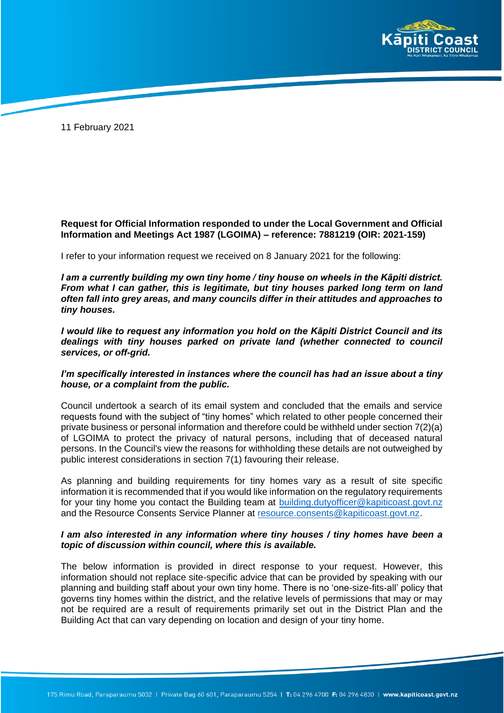

11 February 2021

## **Request for Official Information responded to under the Local Government and Official Information and Meetings Act 1987 (LGOIMA) – reference: 7881219 (OIR: 2021-159)**

I refer to your information request we received on 8 January 2021 for the following:

*I am a currently building my own tiny home / tiny house on wheels in the Kāpiti district. From what I can gather, this is legitimate, but tiny houses parked long term on land often fall into grey areas, and many councils differ in their attitudes and approaches to tiny houses.* 

*I would like to request any information you hold on the Kāpiti District Council and its dealings with tiny houses parked on private land (whether connected to council services, or off-grid.* 

## *I'm specifically interested in instances where the council has had an issue about a tiny house, or a complaint from the public.*

Council undertook a search of its email system and concluded that the emails and service requests found with the subject of "tiny homes" which related to other people concerned their private business or personal information and therefore could be withheld under section 7(2)(a) of LGOIMA to protect the privacy of natural persons, including that of deceased natural persons. In the Council's view the reasons for withholding these details are not outweighed by public interest considerations in section 7(1) favouring their release.

As planning and building requirements for tiny homes vary as a result of site specific information it is recommended that if you would like information on the regulatory requirements for your tiny home you contact the Building team at [building.dutyofficer@kapiticoast.govt.nz](mailto:building.dutyofficer@kapiticoast.govt.nz) and the Resource Consents Service Planner a[t resource.consents@kapiticoast.govt.nz.](mailto:resource.consents@kapiticoast.govt.nz)

## *I am also interested in any information where tiny houses / tiny homes have been a topic of discussion within council, where this is available.*

The below information is provided in direct response to your request. However, this information should not replace site-specific advice that can be provided by speaking with our planning and building staff about your own tiny home. There is no 'one-size-fits-all' policy that governs tiny homes within the district, and the relative levels of permissions that may or may not be required are a result of requirements primarily set out in the District Plan and the Building Act that can vary depending on location and design of your tiny home.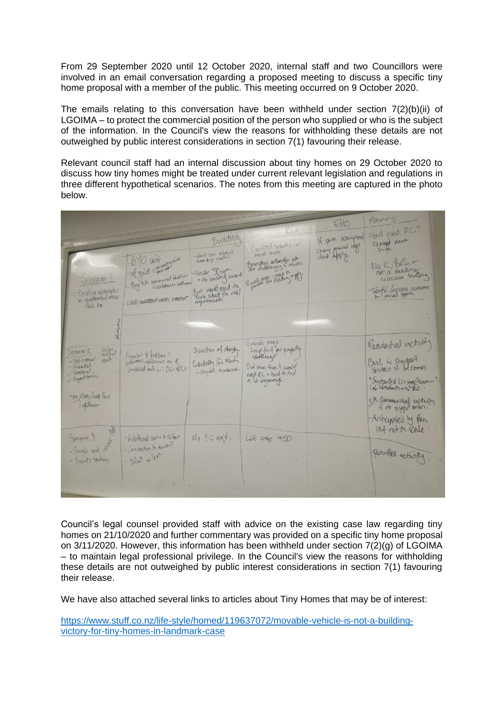From 29 September 2020 until 12 October 2020, internal staff and two Councillors were involved in an email conversation regarding a proposed meeting to discuss a specific tiny home proposal with a member of the public. This meeting occurred on 9 October 2020.

The emails relating to this conversation have been withheld under section  $7(2)(b)(ii)$  of LGOIMA – to protect the commercial position of the person who supplied or who is the subject of the information. In the Council's view the reasons for withholding these details are not outweighed by public interest considerations in section 7(1) favouring their release.

Relevant council staff had an internal discussion about tiny homes on 29 October 2020 to discuss how tiny homes might be treated under current relevant legislation and regulations in three different hypothetical scenarios. The notes from this meeting are captured in the photo below.

| existing examples<br>M residential dear<br>LAND OWNERGHP MODEL IMPOCHAT<br>- Park Ave.                                                                                                                                   | - Under 30 sqr<br>- no building anew<br>But would need to          | Rualian Re Rock to sypt.                                                                                   | $N_{\odot}$ K/Ban =<br>not a divelling.<br>Laccess building<br>Traffi faccess contens                              |
|--------------------------------------------------------------------------------------------------------------------------------------------------------------------------------------------------------------------------|--------------------------------------------------------------------|------------------------------------------------------------------------------------------------------------|--------------------------------------------------------------------------------------------------------------------|
| helgy<br>Scenario 2<br>Namber of Retchens of<br>- SELf-continued<br>rent<br>brimoons defilmines no of<br>- Resolutivel<br>Household units .: DG HRCS<br>Tanshoral<br>- Support Sources<br>-eg May : Crues Hair<br>Jaghar | Question of dangly.<br>PeterHally Fre Ksues<br>-layant, number the | Subdiv regp.<br>Long to 4 as papeling<br>Out More than 4 Noule<br>need RC + hard & had<br>a lot bigenough. | feedertal actualy<br>But in support<br>"Supported Living Euronin"<br>or Commercial activity<br>- Anterphed by pon, |
| Generic 3<br>- Hold tonal Unt = 07 Fes.<br>-Connection to xwills?<br>- Single unit : (4)<br>$-54n^{2}$ as $10n$ .<br>- Frants sechon.                                                                                    | No GC regis.                                                       | Lot oner 450                                                                                               | but not on scale.<br>penniled activity                                                                             |

Council's legal counsel provided staff with advice on the existing case law regarding tiny homes on 21/10/2020 and further commentary was provided on a specific tiny home proposal on 3/11/2020. However, this information has been withheld under section 7(2)(g) of LGOIMA – to maintain legal professional privilege. In the Council's view the reasons for withholding these details are not outweighed by public interest considerations in section 7(1) favouring their release.

We have also attached several links to articles about Tiny Homes that may be of interest:

[https://www.stuff.co.nz/life-style/homed/119637072/movable-vehicle-is-not-a-building](https://www.stuff.co.nz/life-style/homed/119637072/movable-vehicle-is-not-a-building-victory-for-tiny-homes-in-landmark-case)[victory-for-tiny-homes-in-landmark-case](https://www.stuff.co.nz/life-style/homed/119637072/movable-vehicle-is-not-a-building-victory-for-tiny-homes-in-landmark-case)